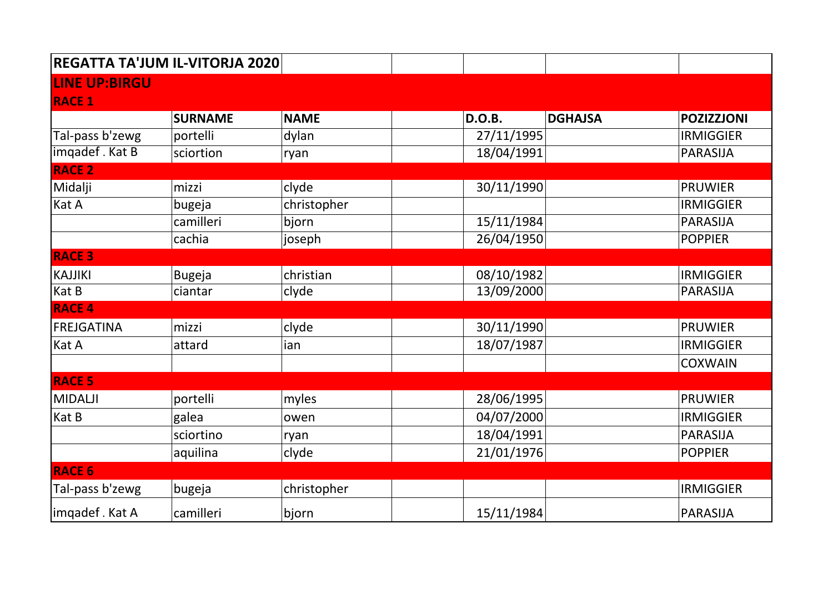| REGATTA TA'JUM IL-VITORJA 2020 |                |             |               |                |                   |  |  |  |  |
|--------------------------------|----------------|-------------|---------------|----------------|-------------------|--|--|--|--|
| <b>LINE UP:BIRGU</b>           |                |             |               |                |                   |  |  |  |  |
| <b>RACE 1</b>                  |                |             |               |                |                   |  |  |  |  |
|                                | <b>SURNAME</b> | <b>NAME</b> | <b>D.O.B.</b> | <b>DGHAJSA</b> | <b>POZIZZJONI</b> |  |  |  |  |
| Tal-pass b'zewg                | portelli       | dylan       | 27/11/1995    |                | <b>IRMIGGIER</b>  |  |  |  |  |
| imqadef. Kat B                 | sciortion      | ryan        | 18/04/1991    |                | <b>PARASIJA</b>   |  |  |  |  |
| <b>RACE 2</b>                  |                |             |               |                |                   |  |  |  |  |
| Midalji                        | mizzi          | clyde       | 30/11/1990    |                | <b>PRUWIER</b>    |  |  |  |  |
| Kat A                          | bugeja         | christopher |               |                | <b>IRMIGGIER</b>  |  |  |  |  |
|                                | camilleri      | bjorn       | 15/11/1984    |                | <b>PARASIJA</b>   |  |  |  |  |
|                                | cachia         | joseph      | 26/04/1950    |                | <b>POPPIER</b>    |  |  |  |  |
| <b>RACE 3</b>                  |                |             |               |                |                   |  |  |  |  |
| <b>KAJJIKI</b>                 | <b>Bugeja</b>  | christian   | 08/10/1982    |                | <b>IRMIGGIER</b>  |  |  |  |  |
| Kat B                          | ciantar        | clyde       | 13/09/2000    |                | <b>PARASIJA</b>   |  |  |  |  |
| <b>RACE 4</b>                  |                |             |               |                |                   |  |  |  |  |
| <b>FREJGATINA</b>              | mizzi          | clyde       | 30/11/1990    |                | <b>PRUWIER</b>    |  |  |  |  |
| Kat A                          | attard         | ian         | 18/07/1987    |                | <b>IRMIGGIER</b>  |  |  |  |  |
|                                |                |             |               |                | <b>COXWAIN</b>    |  |  |  |  |
| <b>RACE 5</b>                  |                |             |               |                |                   |  |  |  |  |
| <b>MIDALJI</b>                 | portelli       | myles       | 28/06/1995    |                | <b>PRUWIER</b>    |  |  |  |  |
| Kat B                          | galea          | owen        | 04/07/2000    |                | <b>IRMIGGIER</b>  |  |  |  |  |
|                                | sciortino      | ryan        | 18/04/1991    |                | <b>PARASIJA</b>   |  |  |  |  |
|                                | aquilina       | clyde       | 21/01/1976    |                | <b>POPPIER</b>    |  |  |  |  |
| <b>RACE 6</b>                  |                |             |               |                |                   |  |  |  |  |
| Tal-pass b'zewg                | bugeja         | christopher |               |                | <b>IRMIGGIER</b>  |  |  |  |  |
| imqadef. Kat A                 | camilleri      | bjorn       | 15/11/1984    |                | <b>PARASIJA</b>   |  |  |  |  |